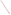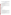# **Consumer Factsheet on: CARBON TETRACHLORIDE**

## [List of Contaminants](http://www.epa.gov/safewater/hfacts.html)

 As part of the Drinking Water and Health pages, this fact sheet is part of a larger publication: **National Primary Drinking Water Regulations** 

 States Environmental Protection Agency (EPA). This is a factsheet about a chemical that may be found in some public or private drinking water supplies. It may cause health problems if found in amounts greater than the health standard set by the United

## **What is Carbon Tetrachloride and how is it used?**

 of it is used to make chlorofluorocarbon propellants and refrigerants, though this has been declining Carbon tetrachloride is a clear heavy organic liquid with a sweet aromatic odor similar to chloroform. Most steadily. Other uses have included: as dry cleaning agent and fire extinguisher, in making nylon, as a solvent for rubber cement, soaps, insecticides, etc.

 The list of trade names given below may help you find out whether you are using this chemical at home or work.

## **Trade Names and Synonyms:**

Perchloromethane Methane tetrachloride Benzinoform Univerm **Necatorina** Facsiolin Flukoids R10 (refrigerant) **Tetraform Tetrasol** Freon 10 Halon 104

#### **Why is Carbon Tetrachloride being Regulated?**

 based solely on possible health risks and exposure, are called Maximum Contaminant Level Goals. In 1974, Congress passed the Safe Drinking Water Act. This law requires EPA to determine safe levels of chemicals in drinking water which do or may cause health problems. These non-enforceable levels,

 would not cause any of the potential health problems described below. The MCLG for carbon tetrachloride has been set at zero because EPA believes this level of protection

 Based on this MCLG, EPA has set an enforceable standard called a Maximum Contaminant Level (MCL). MCLs are set as close to the MCLGs as possible, considering the ability of public water systems to detect and remove contaminants using suitable treatment technologies.

 contaminant should it occur in drinking water. The MCL has been set at 5 part per billion (ppb) because EPA believes, given present technology and resources, this is the lowest level to which water systems can reasonably be required to remove this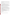These drinking water standards and the regulations for ensuring these standards are met, are called National Primary Drinking Water Regulations. All public water supplies must abide by these regulations.

## **What are the Health Effects?**

 people are exposed to it at levels above the MCL for relatively short periods of time: liver, kidney and lung Short-term: EPA has found carbon tetrachloride to potentially cause the following health effects when damage.

 Long-term: Carbon tetrachloride has the potential to cause the following effects from a lifetime exposure at levels above the MCL: liver damage; cancer.

## **How much Carbon Tetrachloride is produced and released to the environment?**

 according to the Toxic Release Inventory, carbon tetrachloride releases to water and land totalled nearly Production of carbon tetrachloride in 1988 was 761 million lbs Carbon tetrachloride is released to land and water from landfills, in wastewater from industries, from agricultural activities. From 1987 to 1993, 76,000 lbs. These releases were primarily from chemical manufacturing industries. The largest releases occurred in Texas.

## **What happens to Carbon Tetrachloride when it is released to the environment?**

 leach into ground water. It has a low potential to accumulate in aquatic life. Carbon tetrachloride evaporates quickly from surface waters and soil. It does not bind to soil and may

## **How will Carbon Tetrachloride be Detected in and Removed from My Drinking Water?**

 carbon tetrachloride is present above 0.5 ppb. If it is present above this level, the system must continue to monitor this contaminant. The regulation for carbon tetrachloride became effective in 1989. Between 1993 and 1995, EPA required your water supplier to collect water samples every 3 months for one year and analyze them to find out if

If contaminant levels are found to be consistently above the MCL, your water supplier must take steps to reduce the amount of carbon tetrachloride so that it is consistently below that level. The following treatment methods have been approved by EPA for removing carbon tetrachloride : Granular activated charcoal in combination with Packed tower aeration.

#### **How will I know if Carbon Tetrachloride is in my drinking water?**

 If the levels of carbon tetrachloride exceed the MCL, 5 ppb, the system must notify the public via newspapers, radio, TV and other means. Additional actions, such as providing alternative drinking water supplies, may be required to prevent serious risks to public health.

#### **Drinking Water Standards:**

Mclg: zero

Mclg: zero<br>Mcl: 5 ppb

#### **Carbon Tetrachloride Releases to Water and Land, 1987 to 1993 (in pounds):**